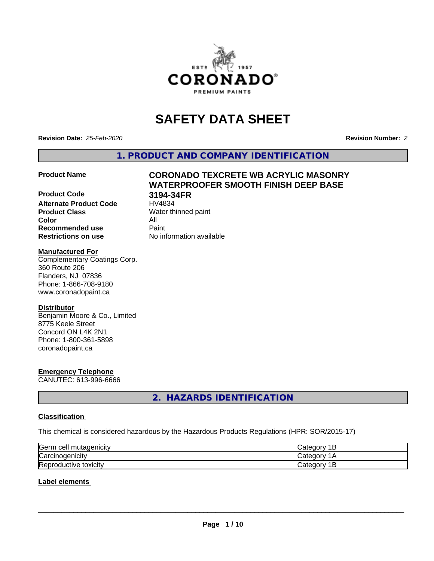

## **SAFETY DATA SHEET**

**Revision Date:** *25-Feb-2020* **Revision Number:** *2*

**1. PRODUCT AND COMPANY IDENTIFICATION**

# **Product Code 3194-34FR**

# **Product Name CORONADO TEXCRETE WB ACRYLIC MASONRY WATERPROOFER SMOOTH FINISH DEEP BASE**

**Alternate Product Code**<br>Product Class **Color** All **Recommended use Caint Restrictions on use** No information available

**Water thinned paint** 

### **Manufactured For**

Complementary Coatings Corp. 360 Route 206 Flanders, NJ 07836 Phone: 1-866-708-9180 www.coronadopaint.ca

### **Distributor**

Benjamin Moore & Co., Limited 8775 Keele Street Concord ON L4K 2N1 Phone: 1-800-361-5898 coronadopaint.ca

### **Emergency Telephone**

CANUTEC: 613-996-6666

**2. HAZARDS IDENTIFICATION**

### **Classification**

This chemical is considered hazardous by the Hazardous Products Regulations (HPR: SOR/2015-17)

| Germ<br>mutagenicity<br>n cell | Just C<br>Ħ<br>∽       |
|--------------------------------|------------------------|
| Carcinogenicity                | -10                    |
| Reproductive<br>toxicity       | ിലെ.<br>п<br>vait<br>- |

### **Label elements**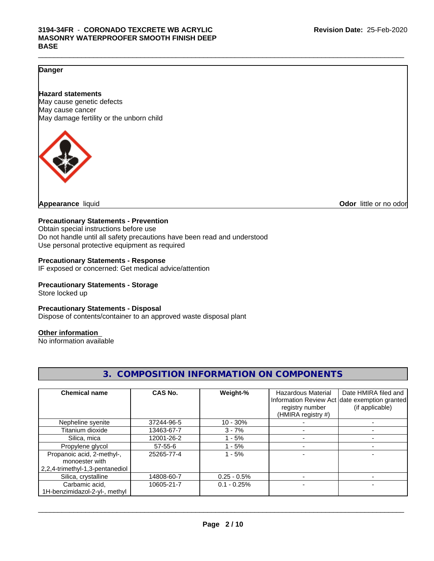### **Danger**

### **Hazard statements**

May cause genetic defects May cause cancer May damage fertility or the unborn child



**Appearance** liquid **CODO** *Appearance liquid* **Odor** *CODO CODO* **<b>***CODO CODO CODO CODO CODO* 

### **Precautionary Statements - Prevention**

Obtain special instructions before use Do not handle until all safety precautions have been read and understood Use personal protective equipment as required

### **Precautionary Statements - Response**

IF exposed or concerned: Get medical advice/attention

### **Precautionary Statements - Storage**

Store locked up

### **Precautionary Statements - Disposal**

Dispose of contents/container to an approved waste disposal plant

### **Other information**

No information available

| <b>Chemical name</b>            | CAS No.    | Weight-%      | <b>Hazardous Material</b> | Date HMIRA filed and                          |
|---------------------------------|------------|---------------|---------------------------|-----------------------------------------------|
|                                 |            |               |                           | Information Review Act date exemption granted |
|                                 |            |               | registry number           | (if applicable)                               |
|                                 |            |               | (HMIRA registry #)        |                                               |
| Nepheline syenite               | 37244-96-5 | $10 - 30%$    |                           |                                               |
| Titanium dioxide                | 13463-67-7 | $3 - 7%$      |                           |                                               |
| Silica, mica                    | 12001-26-2 | - 5%          |                           |                                               |
| Propylene glycol                | 57-55-6    | - 5%          |                           |                                               |
| Propanoic acid, 2-methyl-,      | 25265-77-4 | $1 - 5%$      |                           |                                               |
| monoester with                  |            |               |                           |                                               |
| 2,2,4-trimethyl-1,3-pentanediol |            |               |                           |                                               |
| Silica, crystalline             | 14808-60-7 | $0.25 - 0.5%$ |                           |                                               |
| Carbamic acid,                  | 10605-21-7 | $0.1 - 0.25%$ |                           |                                               |
| 1H-benzimidazol-2-yl-, methyl   |            |               |                           |                                               |

### **3. COMPOSITION INFORMATION ON COMPONENTS**

 $\_$  ,  $\_$  ,  $\_$  ,  $\_$  ,  $\_$  ,  $\_$  ,  $\_$  ,  $\_$  ,  $\_$  ,  $\_$  ,  $\_$  ,  $\_$  ,  $\_$  ,  $\_$  ,  $\_$  ,  $\_$  ,  $\_$  ,  $\_$  ,  $\_$  ,  $\_$  ,  $\_$  ,  $\_$  ,  $\_$  ,  $\_$  ,  $\_$  ,  $\_$  ,  $\_$  ,  $\_$  ,  $\_$  ,  $\_$  ,  $\_$  ,  $\_$  ,  $\_$  ,  $\_$  ,  $\_$  ,  $\_$  ,  $\_$  ,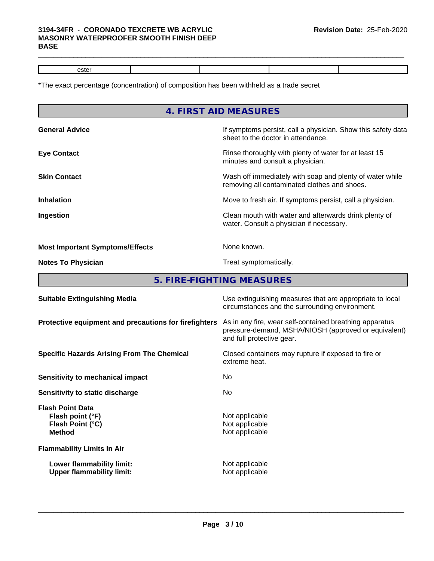### **3194-34FR** - **CORONADO TEXCRETE WB ACRYLIC MASONRY WATERPROOFER SMOOTH FINISH DEEP BASE**

 $\_$  ,  $\_$  ,  $\_$  ,  $\_$  ,  $\_$  ,  $\_$  ,  $\_$  ,  $\_$  ,  $\_$  ,  $\_$  ,  $\_$  ,  $\_$  ,  $\_$  ,  $\_$  ,  $\_$  ,  $\_$  ,  $\_$  ,  $\_$  ,  $\_$  ,  $\_$  ,  $\_$  ,  $\_$  ,  $\_$  ,  $\_$  ,  $\_$  ,  $\_$  ,  $\_$  ,  $\_$  ,  $\_$  ,  $\_$  ,  $\_$  ,  $\_$  ,  $\_$  ,  $\_$  ,  $\_$  ,  $\_$  ,  $\_$  ,

\*The exact percentage (concentration) of composition has been withheld as a trade secret

|                                                       | 4. FIRST AID MEASURES                                                                                                                        |
|-------------------------------------------------------|----------------------------------------------------------------------------------------------------------------------------------------------|
| <b>General Advice</b>                                 | If symptoms persist, call a physician. Show this safety data<br>sheet to the doctor in attendance.                                           |
| <b>Eye Contact</b>                                    | Rinse thoroughly with plenty of water for at least 15<br>minutes and consult a physician.                                                    |
| <b>Skin Contact</b>                                   | Wash off immediately with soap and plenty of water while<br>removing all contaminated clothes and shoes.                                     |
| <b>Inhalation</b>                                     | Move to fresh air. If symptoms persist, call a physician.                                                                                    |
| Ingestion                                             | Clean mouth with water and afterwards drink plenty of<br>water. Consult a physician if necessary.                                            |
| <b>Most Important Symptoms/Effects</b>                | None known.                                                                                                                                  |
| <b>Notes To Physician</b>                             | Treat symptomatically.                                                                                                                       |
|                                                       | 5. FIRE-FIGHTING MEASURES                                                                                                                    |
| <b>Suitable Extinguishing Media</b>                   | Use extinguishing measures that are appropriate to local<br>circumstances and the surrounding environment.                                   |
| Protective equipment and precautions for firefighters | As in any fire, wear self-contained breathing apparatus<br>pressure-demand, MSHA/NIOSH (approved or equivalent)<br>and full protective gear. |
|                                                       |                                                                                                                                              |

extreme heat.

**Not applicable** 

 $\overline{\phantom{a}}$  ,  $\overline{\phantom{a}}$  ,  $\overline{\phantom{a}}$  ,  $\overline{\phantom{a}}$  ,  $\overline{\phantom{a}}$  ,  $\overline{\phantom{a}}$  ,  $\overline{\phantom{a}}$  ,  $\overline{\phantom{a}}$  ,  $\overline{\phantom{a}}$  ,  $\overline{\phantom{a}}$  ,  $\overline{\phantom{a}}$  ,  $\overline{\phantom{a}}$  ,  $\overline{\phantom{a}}$  ,  $\overline{\phantom{a}}$  ,  $\overline{\phantom{a}}$  ,  $\overline{\phantom{a}}$ 

**Specific Hazards Arising From The Chemical Closed containers may rupture if exposed to fire or** 

**Sensitivity to mechanical impact** No

**Sensitivity to static discharge** No

**Flash Point Data Flash point (°F)**<br> **Flash Point (°C)**<br> **Flash Point (°C)**<br> **C Flash Point (°C)**<br>Method

**Flammability Limits In Air**

**Lower flammability limit:**<br>
Upper flammability limit:<br>
Upper flammability limit:<br>
Not applicable **Upper flammability limit:**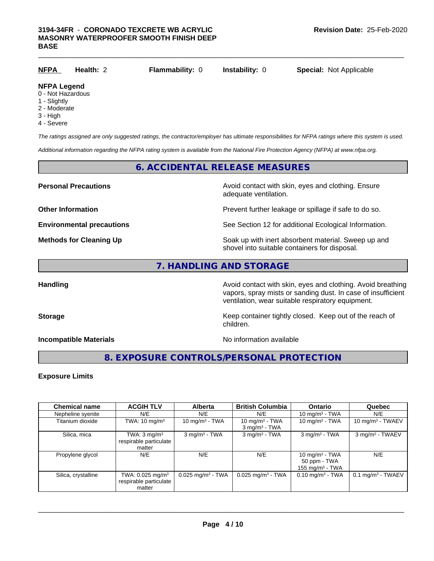| <u>NFPA</u>         | Health: 2 | <b>Flammability: 0</b> | <b>Instability: 0</b> | <b>Special: Not Applicable</b> |
|---------------------|-----------|------------------------|-----------------------|--------------------------------|
| <b>NIEDA LAMARA</b> |           |                        |                       |                                |

### **NFPA Legend** 0 - Not Hazardous

- 1 Slightly
- 2 Moderate
- 
- 3 High
- 4 Severe

*The ratings assigned are only suggested ratings, the contractor/employer has ultimate responsibilities for NFPA ratings where this system is used.*

*Additional information regarding the NFPA rating system is available from the National Fire Protection Agency (NFPA) at www.nfpa.org.*

### **6. ACCIDENTAL RELEASE MEASURES**

**Personal Precautions Avoid contact with skin, eyes and clothing. Ensure** Avoid contact with skin, eyes and clothing. Ensure adequate ventilation.

**Other Information Discription Prevent further leakage or spillage if safe to do so.** 

**Environmental precautions** See Section 12 for additional Ecological Information.

**Methods for Cleaning Up Example 20 All 20 All 20 All 20 Soak** up with inert absorbent material. Sweep up and shovel into suitable containers for disposal.

### **7. HANDLING AND STORAGE**

Handling **Handling Avoid contact with skin, eyes and clothing. Avoid breathing Handling** vapors, spray mists or sanding dust. In case of insufficient ventilation, wear suitable respiratory equipment.

**Storage Keep container tightly closed. Keep out of the reach of Keep** container tightly closed. Keep out of the reach of children.

**Incompatible Materials Incompatible Materials No information available** 

 $\overline{\phantom{a}}$  ,  $\overline{\phantom{a}}$  ,  $\overline{\phantom{a}}$  ,  $\overline{\phantom{a}}$  ,  $\overline{\phantom{a}}$  ,  $\overline{\phantom{a}}$  ,  $\overline{\phantom{a}}$  ,  $\overline{\phantom{a}}$  ,  $\overline{\phantom{a}}$  ,  $\overline{\phantom{a}}$  ,  $\overline{\phantom{a}}$  ,  $\overline{\phantom{a}}$  ,  $\overline{\phantom{a}}$  ,  $\overline{\phantom{a}}$  ,  $\overline{\phantom{a}}$  ,  $\overline{\phantom{a}}$ 

### **8. EXPOSURE CONTROLS/PERSONAL PROTECTION**

### **Exposure Limits**

| <b>Chemical name</b> | <b>ACGIH TLV</b>                                                 | <b>Alberta</b>                  | <b>British Columbia</b>                          | <b>Ontario</b>                                          | Quebec                          |
|----------------------|------------------------------------------------------------------|---------------------------------|--------------------------------------------------|---------------------------------------------------------|---------------------------------|
| Nepheline syenite    | N/E                                                              | N/E                             | N/E                                              | 10 mg/m $3$ - TWA                                       | N/E                             |
| Titanium dioxide     | TWA: $10 \text{ mg/m}^3$                                         | 10 mg/m $3$ - TWA               | 10 mg/m $3$ - TWA<br>$3$ mg/m <sup>3</sup> - TWA | 10 mg/m $3$ - TWA                                       | 10 mg/m $3$ - TWAEV             |
| Silica, mica         | TWA: $3 \text{ mg/m}^3$<br>respirable particulate<br>matter      | $3$ mg/m <sup>3</sup> - TWA     | $3$ mg/m <sup>3</sup> - TWA                      | $3$ mg/m <sup>3</sup> - TWA                             | 3 mg/m <sup>3</sup> - TWAEV     |
| Propylene glycol     | N/E                                                              | N/E                             | N/E                                              | 10 mg/m $3$ - TWA<br>50 ppm - TWA<br>155 mg/m $3$ - TWA | N/E                             |
| Silica, crystalline  | TWA: 0.025 mg/m <sup>3</sup><br>respirable particulate<br>matter | $0.025$ mg/m <sup>3</sup> - TWA | $0.025$ mg/m <sup>3</sup> - TWA                  | $0.10$ mg/m <sup>3</sup> - TWA                          | $0.1$ mg/m <sup>3</sup> - TWAEV |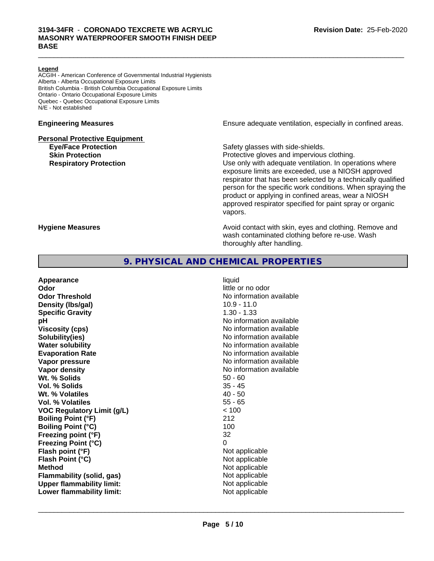### **Legend**

ACGIH - American Conference of Governmental Industrial Hygienists Alberta - Alberta Occupational Exposure Limits British Columbia - British Columbia Occupational Exposure Limits Ontario - Ontario Occupational Exposure Limits Quebec - Quebec Occupational Exposure Limits N/E - Not established

### **Personal Protective Equipment**

**Engineering Measures Ensure** Ensure adequate ventilation, especially in confined areas.

**Eye/Face Protection Safety glasses with side-shields.** 

 $\_$  ,  $\_$  ,  $\_$  ,  $\_$  ,  $\_$  ,  $\_$  ,  $\_$  ,  $\_$  ,  $\_$  ,  $\_$  ,  $\_$  ,  $\_$  ,  $\_$  ,  $\_$  ,  $\_$  ,  $\_$  ,  $\_$  ,  $\_$  ,  $\_$  ,  $\_$  ,  $\_$  ,  $\_$  ,  $\_$  ,  $\_$  ,  $\_$  ,  $\_$  ,  $\_$  ,  $\_$  ,  $\_$  ,  $\_$  ,  $\_$  ,  $\_$  ,  $\_$  ,  $\_$  ,  $\_$  ,  $\_$  ,  $\_$  ,

**Skin Protection Protection Protective gloves and impervious clothing. Respiratory Protection Exercise 2018** Use only with adequate ventilation. In operations where exposure limits are exceeded, use a NIOSH approved respirator that has been selected by a technically qualified person for the specific work conditions. When spraying the product or applying in confined areas, wear a NIOSH approved respirator specified for paint spray or organic vapors.

**Hygiene Measures Avoid contact with skin, eyes and clothing. Remove and Hygiene Measures** and clothing. Remove and wash contaminated clothing before re-use. Wash thoroughly after handling.

### **9. PHYSICAL AND CHEMICAL PROPERTIES**

| liquid<br>little or no odor<br>No information available<br>$10.9 - 11.0$<br>$1.30 - 1.33$<br>No information available<br>No information available<br>No information available<br>No information available<br>No information available<br>No information available<br>No information available<br>$50 - 60$<br>$35 - 45$<br>$40 - 50$<br>$55 - 65$<br>< 100<br>212<br>100<br>32<br>0<br>Not applicable<br>Not applicable<br>Not applicable<br>Not applicable |
|-------------------------------------------------------------------------------------------------------------------------------------------------------------------------------------------------------------------------------------------------------------------------------------------------------------------------------------------------------------------------------------------------------------------------------------------------------------|
| Not applicable<br>Not applicable                                                                                                                                                                                                                                                                                                                                                                                                                            |
|                                                                                                                                                                                                                                                                                                                                                                                                                                                             |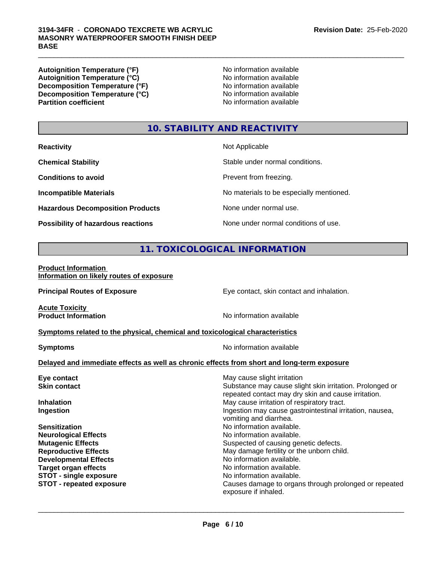### **3194-34FR** - **CORONADO TEXCRETE WB ACRYLIC MASONRY WATERPROOFER SMOOTH FINISH DEEP BASE**

**Autoignition Temperature (°F)**<br> **Autoignition Temperature (°C)** No information available **Autoignition Temperature (°C) Decomposition Temperature (°F)** No information available **Decomposition Temperature (°C)** No information available<br> **Partition coefficient Partition available** 

**No information available** 

 $\_$  ,  $\_$  ,  $\_$  ,  $\_$  ,  $\_$  ,  $\_$  ,  $\_$  ,  $\_$  ,  $\_$  ,  $\_$  ,  $\_$  ,  $\_$  ,  $\_$  ,  $\_$  ,  $\_$  ,  $\_$  ,  $\_$  ,  $\_$  ,  $\_$  ,  $\_$  ,  $\_$  ,  $\_$  ,  $\_$  ,  $\_$  ,  $\_$  ,  $\_$  ,  $\_$  ,  $\_$  ,  $\_$  ,  $\_$  ,  $\_$  ,  $\_$  ,  $\_$  ,  $\_$  ,  $\_$  ,  $\_$  ,  $\_$  ,

### **10. STABILITY AND REACTIVITY**

| <b>Reactivity</b>                         | Not Applicable                           |
|-------------------------------------------|------------------------------------------|
| <b>Chemical Stability</b>                 | Stable under normal conditions.          |
| <b>Conditions to avoid</b>                | Prevent from freezing.                   |
| <b>Incompatible Materials</b>             | No materials to be especially mentioned. |
| <b>Hazardous Decomposition Products</b>   | None under normal use.                   |
| <b>Possibility of hazardous reactions</b> | None under normal conditions of use.     |

### **11. TOXICOLOGICAL INFORMATION**

### **Product Information Information on likely routes of exposure**

**Principal Routes of Exposure Exposure** Eye contact, skin contact and inhalation. **Acute Toxicity**<br>**Product Information No information available Symptoms related to the physical,chemical and toxicological characteristics Symptoms** No information available **Delayed and immediate effects as well as chronic effects from short and long-term exposure Eye contact** May cause slight irritation **New York Contact Skin contact** Substance may cause slight skin irritation. Prolonged or repeated contact may dry skin and cause irritation. **Inhalation** May cause irritation of respiratory tract. **Ingestion Ingestion Index is a linear in the line of the line of the line of the line of the line of the line of the line of the line of the line of the line of the line of the line of the line of the line of the line** vomiting and diarrhea. **Sensitization No information available.** No information available. **Neurological Effects No information available. Mutagenic Effects** Suspected of causing genetic defects. **Reproductive Effects** May damage fertility or the unborn child. **Developmental Effects**<br> **Target organ effects**<br> **Target organ effects**<br> **No information available.** No information available. **STOT** - single exposure **No information available. STOT - repeated exposure** Causes damage to organs through prolonged or repeated exposure if inhaled.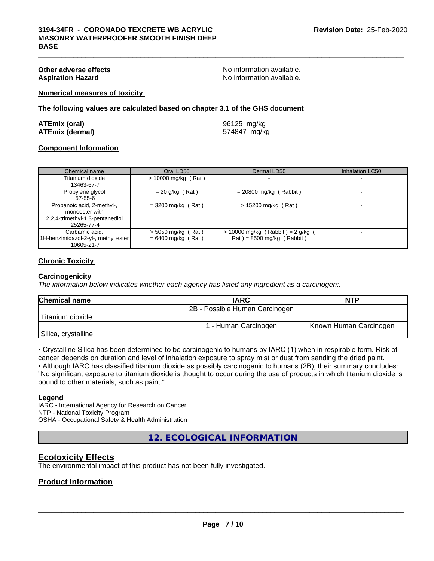**Other adverse effects**<br> **Aspiration Hazard**<br> **Aspiration Hazard**<br> **Aspiration Hazard**<br> **Aspiration Available.** No information available.

 $\_$  ,  $\_$  ,  $\_$  ,  $\_$  ,  $\_$  ,  $\_$  ,  $\_$  ,  $\_$  ,  $\_$  ,  $\_$  ,  $\_$  ,  $\_$  ,  $\_$  ,  $\_$  ,  $\_$  ,  $\_$  ,  $\_$  ,  $\_$  ,  $\_$  ,  $\_$  ,  $\_$  ,  $\_$  ,  $\_$  ,  $\_$  ,  $\_$  ,  $\_$  ,  $\_$  ,  $\_$  ,  $\_$  ,  $\_$  ,  $\_$  ,  $\_$  ,  $\_$  ,  $\_$  ,  $\_$  ,  $\_$  ,  $\_$  ,

**Numerical measures of toxicity**

**The following values are calculated based on chapter 3.1 of the GHS document**

| <b>ATEmix (oral)</b>   | 96125 mg/kg  |
|------------------------|--------------|
| <b>ATEmix (dermal)</b> | 574847 mg/kg |

### **Component Information**

| Chemical name                                                                                 | Oral LD50                                    | Dermal LD50                                                            | Inhalation LC50 |
|-----------------------------------------------------------------------------------------------|----------------------------------------------|------------------------------------------------------------------------|-----------------|
| Titanium dioxide<br>13463-67-7                                                                | $> 10000$ mg/kg (Rat)                        |                                                                        |                 |
| Propylene glycol<br>57-55-6                                                                   | $= 20$ g/kg (Rat)                            | $= 20800$ mg/kg (Rabbit)                                               |                 |
| Propanoic acid, 2-methyl-,<br>monoester with<br>2,2,4-trimethyl-1,3-pentanediol<br>25265-77-4 | $=$ 3200 mg/kg (Rat)                         | $> 15200$ mg/kg (Rat)                                                  |                 |
| Carbamic acid.<br>1H-benzimidazol-2-yl-, methyl ester<br>10605-21-7                           | $>$ 5050 mg/kg (Rat)<br>$= 6400$ mg/kg (Rat) | $\cdot$ 10000 mg/kg (Rabbit) = 2 g/kg (<br>$Rat$ = 8500 mg/kg (Rabbit) |                 |

### **Chronic Toxicity**

### **Carcinogenicity**

*The information below indicateswhether each agency has listed any ingredient as a carcinogen:.*

| <b>Chemical name</b> | <b>IARC</b>                    | <b>NTP</b>             |  |
|----------------------|--------------------------------|------------------------|--|
|                      | 2B - Possible Human Carcinogen |                        |  |
| Titanium dioxide     |                                |                        |  |
|                      | 1 - Human Carcinogen           | Known Human Carcinogen |  |
| Silica, crystalline  |                                |                        |  |

• Crystalline Silica has been determined to be carcinogenic to humans by IARC (1) when in respirable form. Risk of cancer depends on duration and level of inhalation exposure to spray mist or dust from sanding the dried paint.

• Although IARC has classified titanium dioxide as possibly carcinogenic to humans (2B), their summary concludes: "No significant exposure to titanium dioxide is thought to occur during the use of products in which titanium dioxide is bound to other materials, such as paint."

### **Legend**

IARC - International Agency for Research on Cancer NTP - National Toxicity Program OSHA - Occupational Safety & Health Administration

**12. ECOLOGICAL INFORMATION**

### **Ecotoxicity Effects**

The environmental impact of this product has not been fully investigated.

### **Product Information**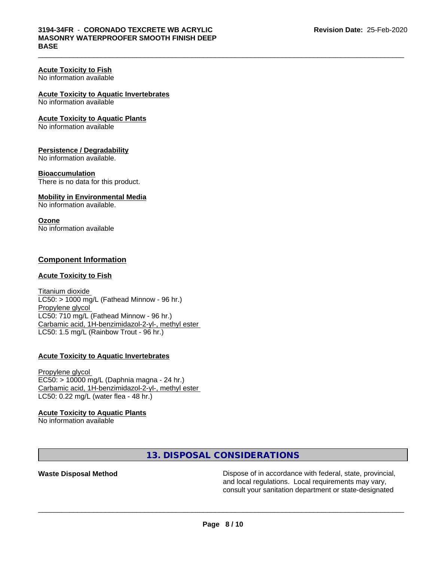### **Acute Toxicity to Fish**

No information available

**Acute Toxicity to Aquatic Invertebrates**

No information available

### **Acute Toxicity to Aquatic Plants**

No information available

### **Persistence / Degradability**

No information available.

### **Bioaccumulation**

There is no data for this product.

### **Mobility in Environmental Media**

No information available.

### **Ozone**

No information available

### **Component Information**

### **Acute Toxicity to Fish**

Titanium dioxide  $LC50:$  > 1000 mg/L (Fathead Minnow - 96 hr.) Propylene glycol LC50: 710 mg/L (Fathead Minnow - 96 hr.) Carbamic acid, 1H-benzimidazol-2-yl-, methyl ester LC50: 1.5 mg/L (Rainbow Trout - 96 hr.)

### **Acute Toxicity to Aquatic Invertebrates**

Propylene glycol EC50: > 10000 mg/L (Daphnia magna - 24 hr.) Carbamic acid, 1H-benzimidazol-2-yl-, methyl ester LC50: 0.22 mg/L (water flea - 48 hr.)

### **Acute Toxicity to Aquatic Plants**

No information available

### **13. DISPOSAL CONSIDERATIONS**

**Waste Disposal Method Dispose of in accordance with federal, state, provincial,** and local regulations. Local requirements may vary, consult your sanitation department or state-designated

 $\_$  ,  $\_$  ,  $\_$  ,  $\_$  ,  $\_$  ,  $\_$  ,  $\_$  ,  $\_$  ,  $\_$  ,  $\_$  ,  $\_$  ,  $\_$  ,  $\_$  ,  $\_$  ,  $\_$  ,  $\_$  ,  $\_$  ,  $\_$  ,  $\_$  ,  $\_$  ,  $\_$  ,  $\_$  ,  $\_$  ,  $\_$  ,  $\_$  ,  $\_$  ,  $\_$  ,  $\_$  ,  $\_$  ,  $\_$  ,  $\_$  ,  $\_$  ,  $\_$  ,  $\_$  ,  $\_$  ,  $\_$  ,  $\_$  ,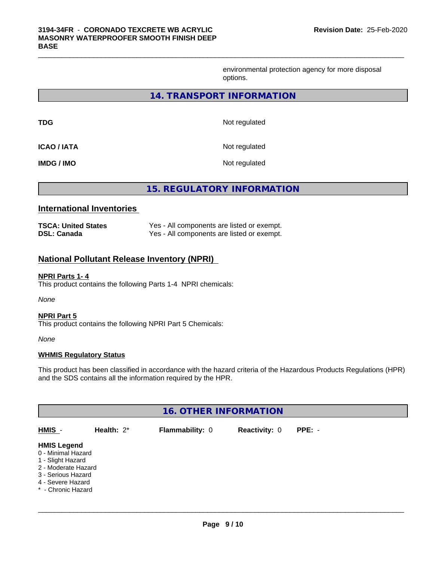environmental protection agency for more disposal options.

### **14. TRANSPORT INFORMATION**

 $\_$  ,  $\_$  ,  $\_$  ,  $\_$  ,  $\_$  ,  $\_$  ,  $\_$  ,  $\_$  ,  $\_$  ,  $\_$  ,  $\_$  ,  $\_$  ,  $\_$  ,  $\_$  ,  $\_$  ,  $\_$  ,  $\_$  ,  $\_$  ,  $\_$  ,  $\_$  ,  $\_$  ,  $\_$  ,  $\_$  ,  $\_$  ,  $\_$  ,  $\_$  ,  $\_$  ,  $\_$  ,  $\_$  ,  $\_$  ,  $\_$  ,  $\_$  ,  $\_$  ,  $\_$  ,  $\_$  ,  $\_$  ,  $\_$  ,

| TDG                | Not regulated |
|--------------------|---------------|
| <b>ICAO / IATA</b> | Not regulated |
| IMDG / IMO         | Not regulated |

**15. REGULATORY INFORMATION**

### **International Inventories**

| <b>TSCA: United States</b> | Yes - All components are listed or exempt. |
|----------------------------|--------------------------------------------|
| <b>DSL: Canada</b>         | Yes - All components are listed or exempt. |

### **National Pollutant Release Inventory (NPRI)**

### **NPRI Parts 1- 4**

This product contains the following Parts 1-4 NPRI chemicals:

*None*

### **NPRI Part 5**

This product contains the following NPRI Part 5 Chemicals:

*None*

### **WHMIS Regulatory Status**

This product has been classified in accordance with the hazard criteria of the Hazardous Products Regulations (HPR) and the SDS contains all the information required by the HPR.

| <b>16. OTHER INFORMATION</b>                                                                                                                          |               |                 |                      |          |  |  |  |
|-------------------------------------------------------------------------------------------------------------------------------------------------------|---------------|-----------------|----------------------|----------|--|--|--|
| HMIS -                                                                                                                                                | Health: $2^*$ | Flammability: 0 | <b>Reactivity: 0</b> | $PPE: -$ |  |  |  |
| <b>HMIS Legend</b><br>0 - Minimal Hazard<br>1 - Slight Hazard<br>2 - Moderate Hazard<br>3 - Serious Hazard<br>4 - Severe Hazard<br>* - Chronic Hazard |               |                 |                      |          |  |  |  |